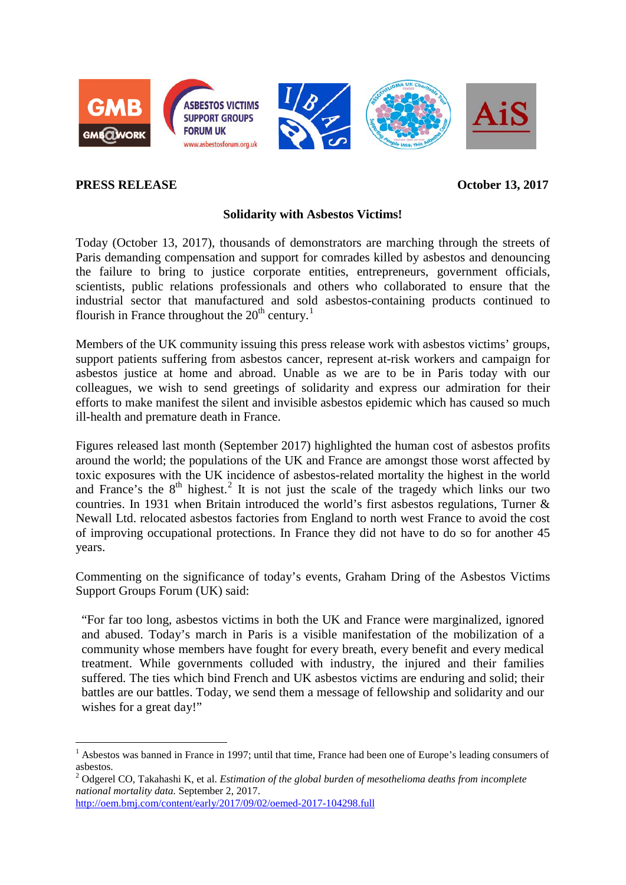

## **PRESS RELEASE October 13, 2017**

## **Solidarity with Asbestos Victims!**

Today (October 13, 2017), thousands of demonstrators are marching through the streets of Paris demanding compensation and support for comrades killed by asbestos and denouncing the failure to bring to justice corporate entities, entrepreneurs, government officials, scientists, public relations professionals and others who collaborated to ensure that the industrial sector that manufactured and sold asbestos-containing products continued to flourish in France throughout the  $20<sup>th</sup>$  century.<sup>[1](#page-0-0)</sup>

Members of the UK community issuing this press release work with asbestos victims' groups, support patients suffering from asbestos cancer, represent at-risk workers and campaign for asbestos justice at home and abroad. Unable as we are to be in Paris today with our colleagues, we wish to send greetings of solidarity and express our admiration for their efforts to make manifest the silent and invisible asbestos epidemic which has caused so much ill-health and premature death in France.

Figures released last month (September 2017) highlighted the human cost of asbestos profits around the world; the populations of the UK and France are amongst those worst affected by toxic exposures with the UK incidence of asbestos-related mortality the highest in the world and France's the  $8<sup>th</sup>$  highest.<sup>[2](#page-0-1)</sup> It is not just the scale of the tragedy which links our two countries. In 1931 when Britain introduced the world's first asbestos regulations, Turner & Newall Ltd. relocated asbestos factories from England to north west France to avoid the cost of improving occupational protections. In France they did not have to do so for another 45 years.

Commenting on the significance of today's events, Graham Dring of the Asbestos Victims Support Groups Forum (UK) said:

"For far too long, asbestos victims in both the UK and France were marginalized, ignored and abused. Today's march in Paris is a visible manifestation of the mobilization of a community whose members have fought for every breath, every benefit and every medical treatment. While governments colluded with industry, the injured and their families suffered. The ties which bind French and UK asbestos victims are enduring and solid; their battles are our battles. Today, we send them a message of fellowship and solidarity and our wishes for a great day!"

<http://oem.bmj.com/content/early/2017/09/02/oemed-2017-104298.full>

<span id="page-0-0"></span> <sup>1</sup> Asbestos was banned in France in 1997; until that time, France had been one of Europe's leading consumers of asbestos.

<span id="page-0-1"></span><sup>2</sup> Odgerel CO, Takahashi K, et al. *Estimation of the global burden of mesothelioma deaths from incomplete national mortality data.* September 2, 2017.